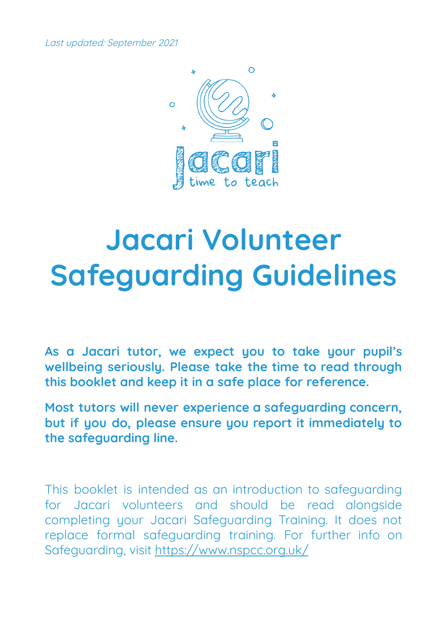Last updated: September 2021



# **Jacari Volunteer Safeguarding Guidelines**

**As a Jacari tutor, we expect you to take your pupil's wellbeing seriously. Please take the time to read through this booklet and keep it in a safe place for reference.**

**Most tutors will never experience a safeguarding concern, but if you do, please ensure you report it immediately to the safeguarding line.**

This booklet is intended as an introduction to safeguarding for Jacari volunteers and should be read alongside completing your Jacari Safeguarding Training. It does not replace formal safeguarding training. For further info on Safeguarding, visit [https://www.nspcc.org.uk/](https://www.nspcc.org.uk/preventing-abuse/)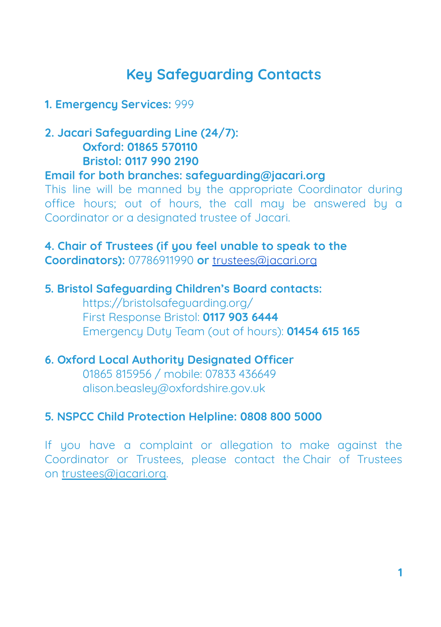# **Key Safeguarding Contacts**

#### **1. Emergency Services:** 999

## **2. Jacari Safeguarding Line (24/7): Oxford: 01865 570110 Bristol: 0117 990 2190**

#### **Email for both branches: safeguarding@jacari.org**

This line will be manned by the appropriate Coordinator during office hours; out of hours, the call may be answered by a Coordinator or a designated trustee of Jacari.

## **4. Chair of Trustees (if you feel unable to speak to the Coordinators):** 07786911990 **or** [trustees@jacari.org](mailto:trustees@jacari.org)

#### **5. Bristol Safeguarding Children's Board contacts:**

<https://bristolsafeguarding.org/> First Response Bristol: **0117 903 6444** Emergency Duty Team (out of hours): **01454 615 165**

#### **6. Oxford Local Authority Designated Officer**

01865 815956 / mobile: 07833 436649 alison.beasley@oxfordshire.gov.uk

#### **5. NSPCC Child Protection Helpline: 0808 800 5000**

If you have a complaint or allegation to make against the Coordinator or Trustees, please contact the Chair of Trustees on [trustees@jacari.org.](mailto:trustees@jacari.org)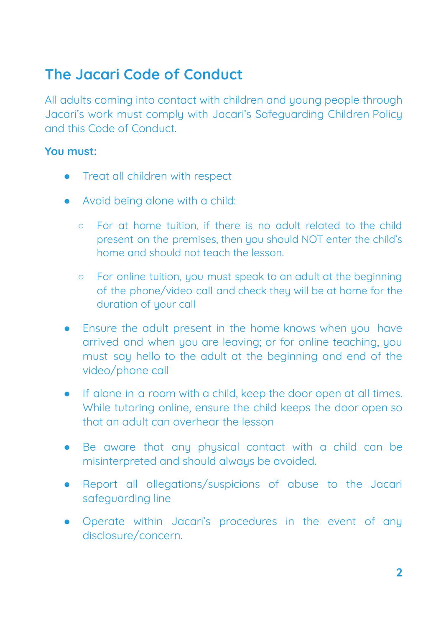# **The Jacari Code of Conduct**

All adults coming into contact with children and young people through Jacari's work must comply with Jacari's Safeguarding Children Policy and this Code of Conduct.

#### **You must:**

- Treat all children with respect
- Avoid being alone with a child:
	- For at home tuition, if there is no adult related to the child present on the premises, then you should NOT enter the child's home and should not teach the lesson.
	- For online tuition, you must speak to an adult at the beginning of the phone/video call and check they will be at home for the duration of your call
- Ensure the adult present in the home knows when you have arrived and when you are leaving; or for online teaching, you must say hello to the adult at the beginning and end of the video/phone call
- If alone in a room with a child, keep the door open at all times. While tutoring online, ensure the child keeps the door open so that an adult can overhear the lesson
- Be aware that any physical contact with a child can be misinterpreted and should always be avoided.
- Report all allegations/suspicions of abuse to the Jacari safeguarding line
- Operate within Jacari's procedures in the event of any disclosure/concern.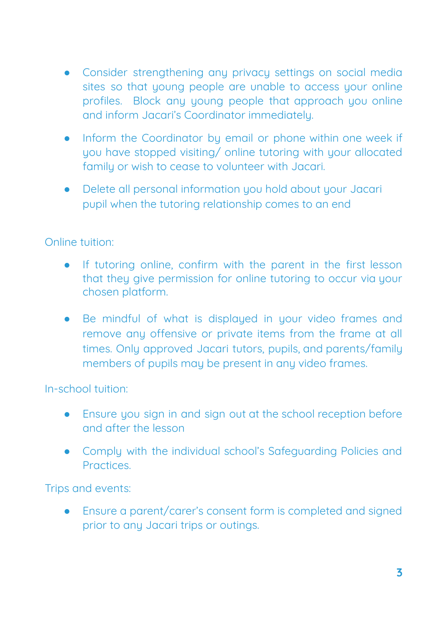- Consider strengthening any privacy settings on social media sites so that young people are unable to access your online profiles. Block any young people that approach you online and inform Jacari's Coordinator immediately.
- Inform the Coordinator by email or phone within one week if you have stopped visiting/ online tutoring with your allocated family or wish to cease to volunteer with Jacari.
- Delete all personal information you hold about your Jacari pupil when the tutoring relationship comes to an end

#### Online tuition:

- If tutoring online, confirm with the parent in the first lesson that they give permission for online tutoring to occur via your chosen platform.
- Be mindful of what is displayed in your video frames and remove any offensive or private items from the frame at all times. Only approved Jacari tutors, pupils, and parents/family members of pupils may be present in any video frames.

In-school tuition:

- Ensure you sign in and sign out at the school reception before and after the lesson
- Comply with the individual school's Safeguarding Policies and **Practices**

Trips and events:

● Ensure a parent/carer's consent form is completed and signed prior to any Jacari trips or outings.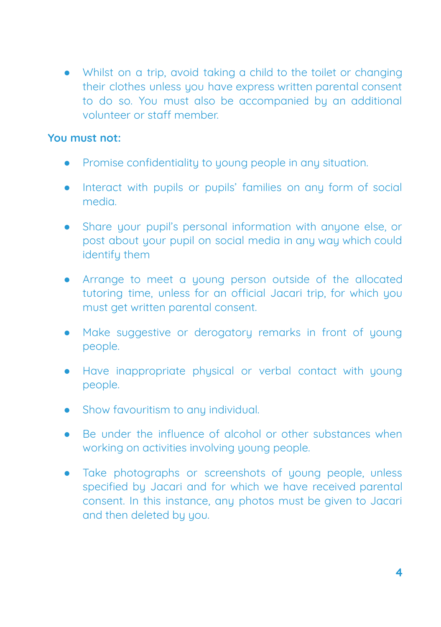● Whilst on a trip, avoid taking a child to the toilet or changing their clothes unless you have express written parental consent to do so. You must also be accompanied by an additional volunteer or staff member.

#### **You must not:**

- Promise confidentiality to young people in any situation.
- Interact with pupils or pupils' families on any form of social media.
- Share your pupil's personal information with anyone else, or post about your pupil on social media in any way which could identify them
- Arrange to meet a young person outside of the allocated tutoring time, unless for an official Jacari trip, for which you must get written parental consent.
- Make suggestive or derogatory remarks in front of young people.
- Have inappropriate physical or verbal contact with young people.
- Show favouritism to any individual.
- Be under the influence of alcohol or other substances when working on activities involving young people.
- Take photographs or screenshots of young people, unless specified by Jacari and for which we have received parental consent. In this instance, any photos must be given to Jacari and then deleted by you.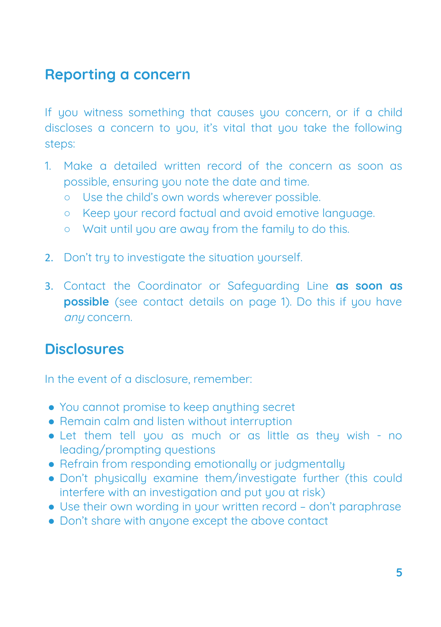# **Reporting a concern**

If you witness something that causes you concern, or if a child discloses a concern to you, it's vital that you take the following steps:

- 1. Make a detailed written record of the concern as soon as possible, ensuring you note the date and time.
	- Use the child's own words wherever possible.
	- Keep your record factual and avoid emotive language.
	- Wait until you are away from the family to do this.
- 2. Don't tru to investigate the situation yourself.
- 3. Contact the Coordinator or Safeguarding Line **as soon as possible** (see contact details on page 1). Do this if you have any concern.

## **Disclosures**

In the event of a disclosure, remember:

- **●** You cannot promise to keep anything secret
- **●** Remain calm and listen without interruption
- **●** Let them tell you as much or as little as they wish no leading/prompting questions
- **●** Refrain from responding emotionally or judgmentally
- **●** Don't physically examine them/investigate further (this could interfere with an investigation and put you at risk)
- **●** Use their own wording in your written record don't paraphrase
- **●** Don't share with anyone except the above contact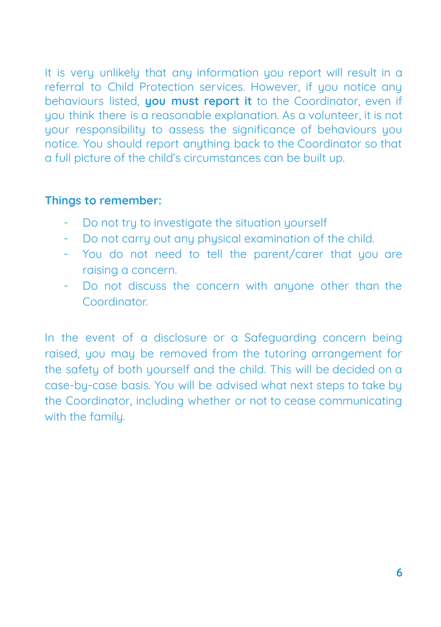It is very unlikely that any information you report will result in a referral to Child Protection services. However, if you notice any behaviours listed, **you must report it** to the Coordinator, even if you think there is a reasonable explanation. As a volunteer, it is not your responsibility to assess the significance of behaviours you notice. You should report anything back to the Coordinator so that a full picture of the child's circumstances can be built up.

#### **Things to remember:**

- Do not tru to investigate the situation yourself
- Do not carry out any physical examination of the child.
- You do not need to tell the parent/carer that you are raising a concern.
- Do not discuss the concern with anyone other than the Coordinator.

In the event of a disclosure or a Safeguarding concern being raised, you may be removed from the tutoring arrangement for the safety of both yourself and the child. This will be decided on a case-by-case basis. You will be advised what next steps to take by the Coordinator, including whether or not to cease communicating with the family.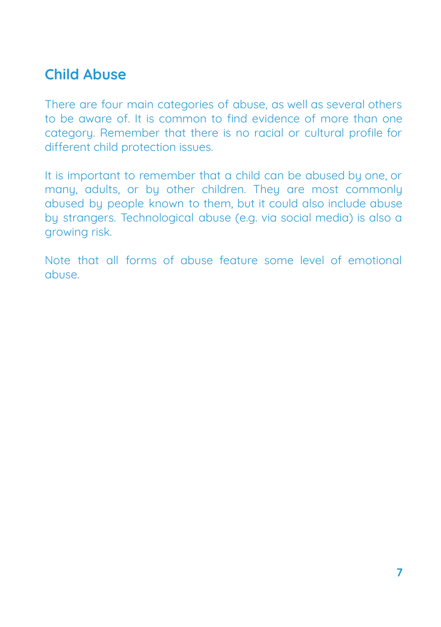# **Child Abuse**

There are four main categories of abuse, as well as several others to be aware of. It is common to find evidence of more than one category. Remember that there is no racial or cultural profile for different child protection issues.

It is important to remember that a child can be abused by one, or many, adults, or by other children. They are most commonly abused by people known to them, but it could also include abuse by strangers. Technological abuse (e.g. via social media) is also a growing risk.

Note that all forms of abuse feature some level of emotional abuse.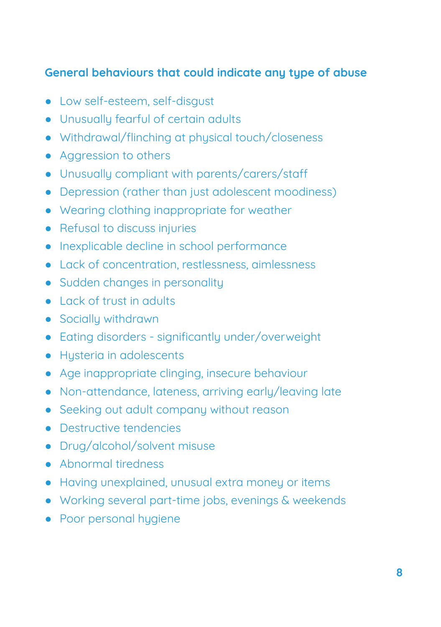## **General behaviours that could indicate any type of abuse**

- Low self-esteem, self-disgust
- Unusually fearful of certain adults
- Withdrawal/flinching at physical touch/closeness
- Aggression to others
- Unusually compliant with parents/carers/staff
- Depression (rather than just adolescent moodiness)
- Wearing clothing inappropriate for weather
- Refusal to discuss injuries
- Inexplicable decline in school performance
- Lack of concentration, restlessness, aimlessness
- Sudden changes in personality
- Lack of trust in adults
- Socially withdrawn
- Eating disorders significantly under/overweight
- Husteria in adolescents
- Age inappropriate clinging, insecure behaviour
- Non-attendance, lateness, arriving early/leaving late
- Seeking out adult company without reason
- Destructive tendencies
- Drug/alcohol/solvent misuse
- Abnormal tiredness
- Having unexplained, unusual extra money or items
- Working several part-time jobs, evenings & weekends
- Poor personal hygiene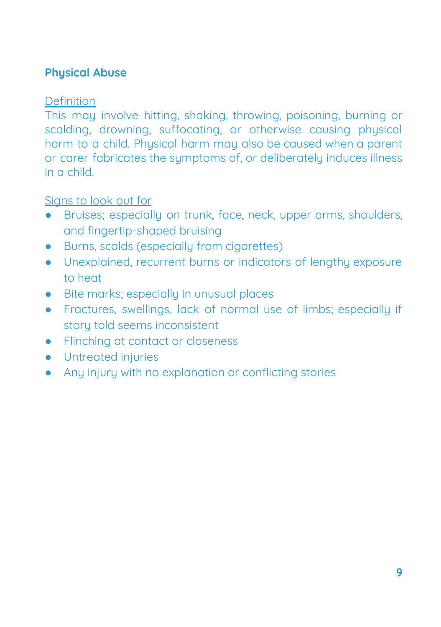## **Phusical Abuse**

## **Definition**

This may involve hitting, shaking, throwing, poisoning, burning or scalding, drowning, suffocating, or otherwise causing phusical harm to a child. Physical harm may also be caused when a parent or carer fabricates the sumptoms of, or deliberately induces illness in a child.

- Bruises; especially on trunk, face, neck, upper arms, shoulders, and fingertip-shaped bruising
- Burns, scalds (especially from cigarettes)
- Unexplained, recurrent burns or indicators of lengthy exposure to heat
- Bite marks: especially in unusual places
- Fractures, swellings, lack of normal use of limbs; especially if story told seems inconsistent
- Flinching at contact or closeness
- Untreated injuries
- Any injury with no explanation or conflicting stories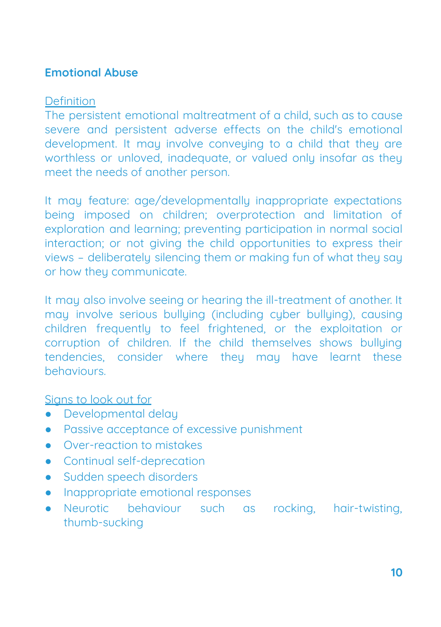## **Emotional Abuse**

#### Definition

The persistent emotional maltreatment of a child, such as to cause severe and persistent adverse effects on the child's emotional development. It may involve conveying to a child that they are worthless or unloved, inadequate, or valued only insofar as they meet the needs of another person.

It may feature: age/developmentally inappropriate expectations being imposed on children; overprotection and limitation of exploration and learning; preventing participation in normal social interaction; or not giving the child opportunities to express their views - deliberately silencing them or making fun of what they say or how they communicate.

It may also involve seeing or hearing the ill-treatment of another. It may involve serious bullying (including cyber bullying), causing children frequently to feel frightened, or the exploitation or corruption of children. If the child themselves shows bullying tendencies, consider where they may have learnt these behaviours.

- Developmental delay
- Passive acceptance of excessive punishment
- Over-reaction to mistakes
- Continual self-deprecation
- **•** Sudden speech disorders
- Inappropriate emotional responses
- Neurotic behaviour such as rocking, hair-twisting, thumb-sucking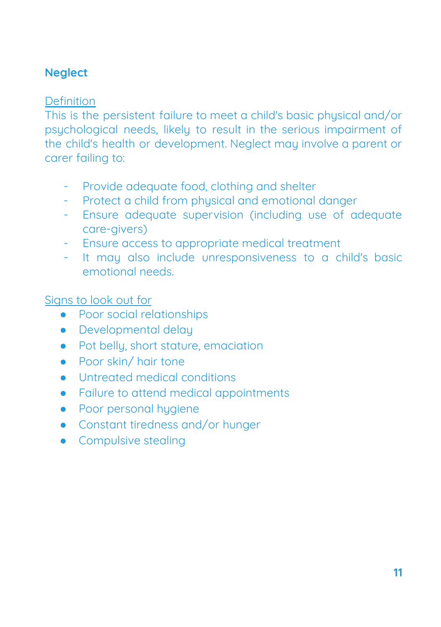## **Neglect**

## **Definition**

This is the persistent failure to meet a child's basic physical and/or psychological needs, likely to result in the serious impairment of the child's health or development. Neglect may involve a parent or carer failing to:

- Provide adequate food, clothing and shelter
- Protect a child from physical and emotional danger
- Ensure adequate supervision (including use of adequate care-givers)
- Ensure access to appropriate medical treatment
- It may also include unresponsiveness to a child's basic emotional needs.

- Poor social relationships
- Developmental delay
- Pot bellu, short stature, emaciation
- Poor skin/ hair tone
- Untreated medical conditions
- Failure to attend medical appointments
- Poor personal hygiene
- Constant tiredness and/or hunger
- Compulsive stealing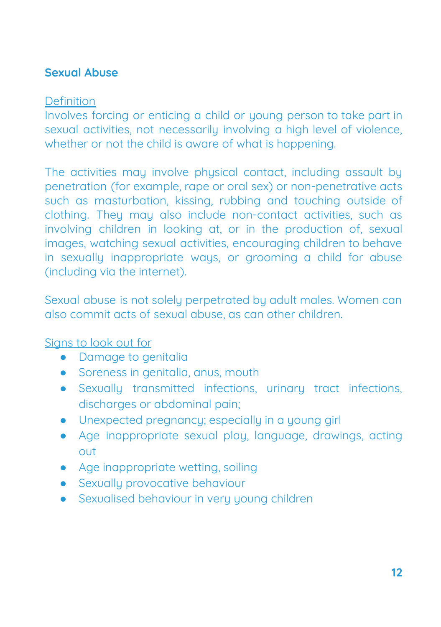## **Sexual Abuse**

## Definition

Involves forcing or enticing a child or young person to take part in sexual activities, not necessarily involving a high level of violence, whether or not the child is aware of what is happening.

The activities may involve physical contact, including assault by penetration (for example, rape or oral sex) or non-penetrative acts such as masturbation, kissing, rubbing and touching outside of clothing. They may also include non-contact activities, such as involving children in looking at, or in the production of, sexual images, watching sexual activities, encouraging children to behave in sexually inappropriate ways, or grooming a child for abuse (including via the internet).

Sexual abuse is not solely perpetrated by adult males. Women can also commit acts of sexual abuse, as can other children.

- Damage to genitalia
- Soreness in genitalia, anus, mouth
- Sexually transmitted infections, urinary tract infections, discharges or abdominal pain;
- Unexpected pregnancy; especially in a young girl
- Age inappropriate sexual play, language, drawings, acting out
- Age inappropriate wetting, soiling
- **•** Sexually provocative behaviour
- Sexualised behaviour in very young children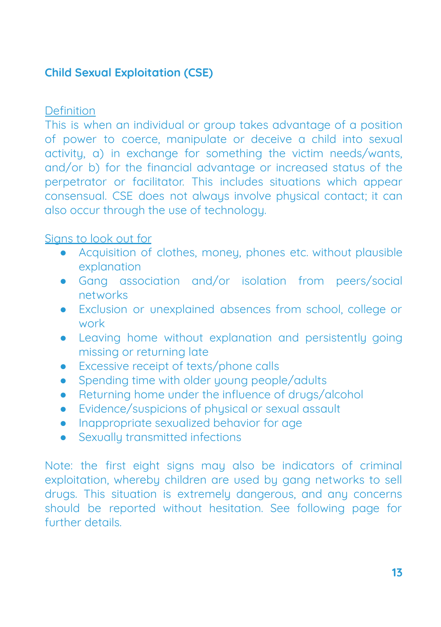## **Child Sexual Exploitation (CSE)**

Definition

This is when an individual or group takes advantage of a position of power to coerce, manipulate or deceive a child into sexual activity, a) in exchange for something the victim needs/wants, and/or b) for the financial advantage or increased status of the perpetrator or facilitator. This includes situations which appear consensual. CSE does not always involve physical contact; it can also occur through the use of technology.

## Signs to look out for

- Acquisition of clothes, money, phones etc. without plausible explanation
- Gang association and/or isolation from peers/social networks
- Exclusion or unexplained absences from school, college or work
- Leaving home without explanation and persistently going missing or returning late
- Excessive receipt of texts/phone calls
- Spending time with older young people/adults
- Returning home under the influence of drugs/alcohol
- Evidence/suspicions of physical or sexual assault
- Inappropriate sexualized behavior for age
- Sexually transmitted infections

Note: the first eight signs may also be indicators of criminal exploitation, whereby children are used by gang networks to sell drugs. This situation is extremely dangerous, and any concerns should be reported without hesitation. See following page for further details.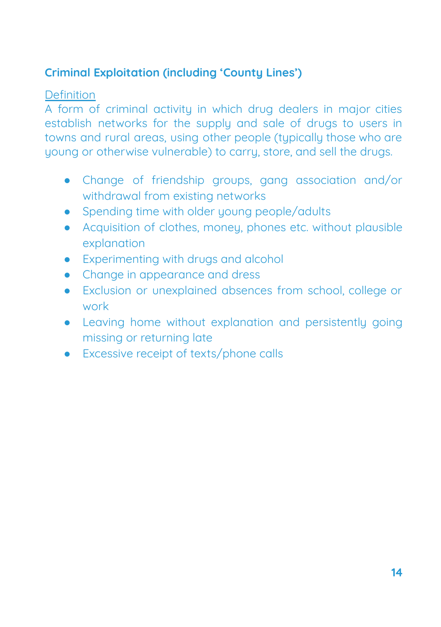## **Criminal Exploitation (including 'County Lines')**

#### Definition

A form of criminal activity in which drug dealers in major cities establish networks for the supply and sale of drugs to users in towns and rural areas, using other people (tupically those who are young or otherwise vulnerable) to carry, store, and sell the drugs.

- Change of friendship groups, gang association and/or withdrawal from existing networks
- Spending time with older young people/adults
- Acquisition of clothes, money, phones etc. without plausible explanation
- Experimenting with drugs and alcohol
- Change in appearance and dress
- Exclusion or unexplained absences from school, college or work
- Leaving home without explanation and persistently going missing or returning late
- Excessive receipt of texts/phone calls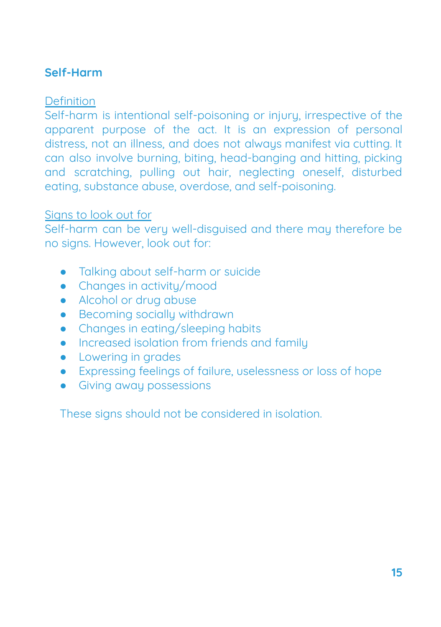## **Self-Harm**

## Definition

Self-harm is intentional self-poisoning or injury, irrespective of the apparent purpose of the act. It is an expression of personal distress, not an illness, and does not always manifest via cutting. It can also involve burning, biting, head-banging and hitting, picking and scratching, pulling out hair, neglecting oneself, disturbed eating, substance abuse, overdose, and self-poisoning.

#### Signs to look out for

Self-harm can be very well-disquised and there may therefore be no signs. However, look out for:

- Talking about self-harm or suicide
- Changes in activity/mood
- Alcohol or drug abuse
- Becoming sociallu withdrawn
- Changes in eating/sleeping habits
- Increased isolation from friends and family
- Lowering in grades
- Expressing feelings of failure, uselessness or loss of hope
- **•** Giving away possessions

These signs should not be considered in isolation.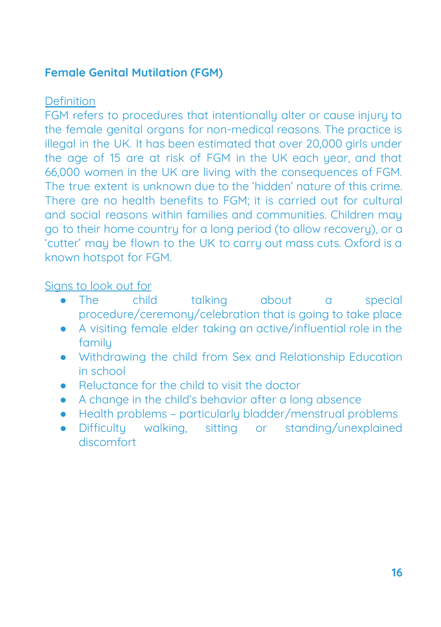## **Female Genital Mutilation (FGM)**

## Definition

FGM refers to procedures that intentionally alter or cause injury to the female genital organs for non-medical reasons. The practice is illegal in the UK. It has been estimated that over 20,000 girls under the age of 15 are at risk of FGM in the UK each year, and that 66,000 women in the UK are living with the consequences of FGM. The true extent is unknown due to the 'hidden' nature of this crime. There are no health benefits to FGM; it is carried out for cultural and social reasons within families and communities. Children may go to their home country for a long period (to allow recovery), or a 'cutter' may be flown to the UK to carry out mass cuts. Oxford is a known hotspot for FGM.

- The child talking about a special procedure/ceremony/celebration that is going to take place
- A visiting female elder taking an active/influential role in the family
- Withdrawing the child from Sex and Relationship Education in school
- Beluctance for the child to visit the doctor
- A change in the child's behavior after a long absence
- Health problems particularly bladder/menstrual problems
- Difficulty walking, sitting or standing/unexplained discomfort